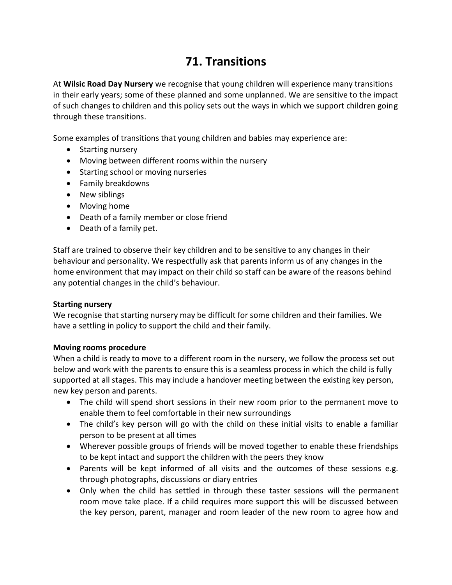# **71. Transitions**

At **Wilsic Road Day Nursery** we recognise that young children will experience many transitions in their early years; some of these planned and some unplanned. We are sensitive to the impact of such changes to children and this policy sets out the ways in which we support children going through these transitions.

Some examples of transitions that young children and babies may experience are:

- Starting nursery
- Moving between different rooms within the nursery
- Starting school or moving nurseries
- Family breakdowns
- New siblings
- Moving home
- Death of a family member or close friend
- Death of a family pet.

Staff are trained to observe their key children and to be sensitive to any changes in their behaviour and personality. We respectfully ask that parents inform us of any changes in the home environment that may impact on their child so staff can be aware of the reasons behind any potential changes in the child's behaviour.

#### **Starting nursery**

We recognise that starting nursery may be difficult for some children and their families. We have a settling in policy to support the child and their family.

## **Moving rooms procedure**

When a child is ready to move to a different room in the nursery, we follow the process set out below and work with the parents to ensure this is a seamless process in which the child is fully supported at all stages. This may include a handover meeting between the existing key person, new key person and parents.

- The child will spend short sessions in their new room prior to the permanent move to enable them to feel comfortable in their new surroundings
- The child's key person will go with the child on these initial visits to enable a familiar person to be present at all times
- Wherever possible groups of friends will be moved together to enable these friendships to be kept intact and support the children with the peers they know
- Parents will be kept informed of all visits and the outcomes of these sessions e.g. through photographs, discussions or diary entries
- Only when the child has settled in through these taster sessions will the permanent room move take place. If a child requires more support this will be discussed between the key person, parent, manager and room leader of the new room to agree how and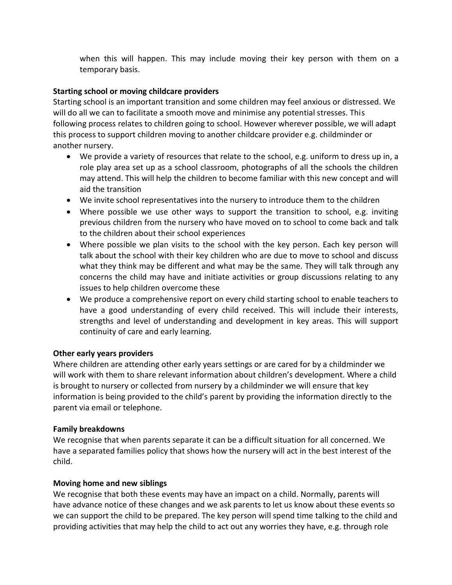when this will happen. This may include moving their key person with them on a temporary basis.

## **Starting school or moving childcare providers**

Starting school is an important transition and some children may feel anxious or distressed. We will do all we can to facilitate a smooth move and minimise any potential stresses. This following process relates to children going to school. However wherever possible, we will adapt this process to support children moving to another childcare provider e.g. childminder or another nursery.

- We provide a variety of resources that relate to the school, e.g. uniform to dress up in, a role play area set up as a school classroom, photographs of all the schools the children may attend. This will help the children to become familiar with this new concept and will aid the transition
- We invite school representatives into the nursery to introduce them to the children
- Where possible we use other ways to support the transition to school, e.g. inviting previous children from the nursery who have moved on to school to come back and talk to the children about their school experiences
- Where possible we plan visits to the school with the key person. Each key person will talk about the school with their key children who are due to move to school and discuss what they think may be different and what may be the same. They will talk through any concerns the child may have and initiate activities or group discussions relating to any issues to help children overcome these
- We produce a comprehensive report on every child starting school to enable teachers to have a good understanding of every child received. This will include their interests, strengths and level of understanding and development in key areas. This will support continuity of care and early learning.

## **Other early years providers**

Where children are attending other early years settings or are cared for by a childminder we will work with them to share relevant information about children's development. Where a child is brought to nursery or collected from nursery by a childminder we will ensure that key information is being provided to the child's parent by providing the information directly to the parent via email or telephone.

## **Family breakdowns**

We recognise that when parents separate it can be a difficult situation for all concerned. We have a separated families policy that shows how the nursery will act in the best interest of the child.

## **Moving home and new siblings**

We recognise that both these events may have an impact on a child. Normally, parents will have advance notice of these changes and we ask parents to let us know about these events so we can support the child to be prepared. The key person will spend time talking to the child and providing activities that may help the child to act out any worries they have, e.g. through role